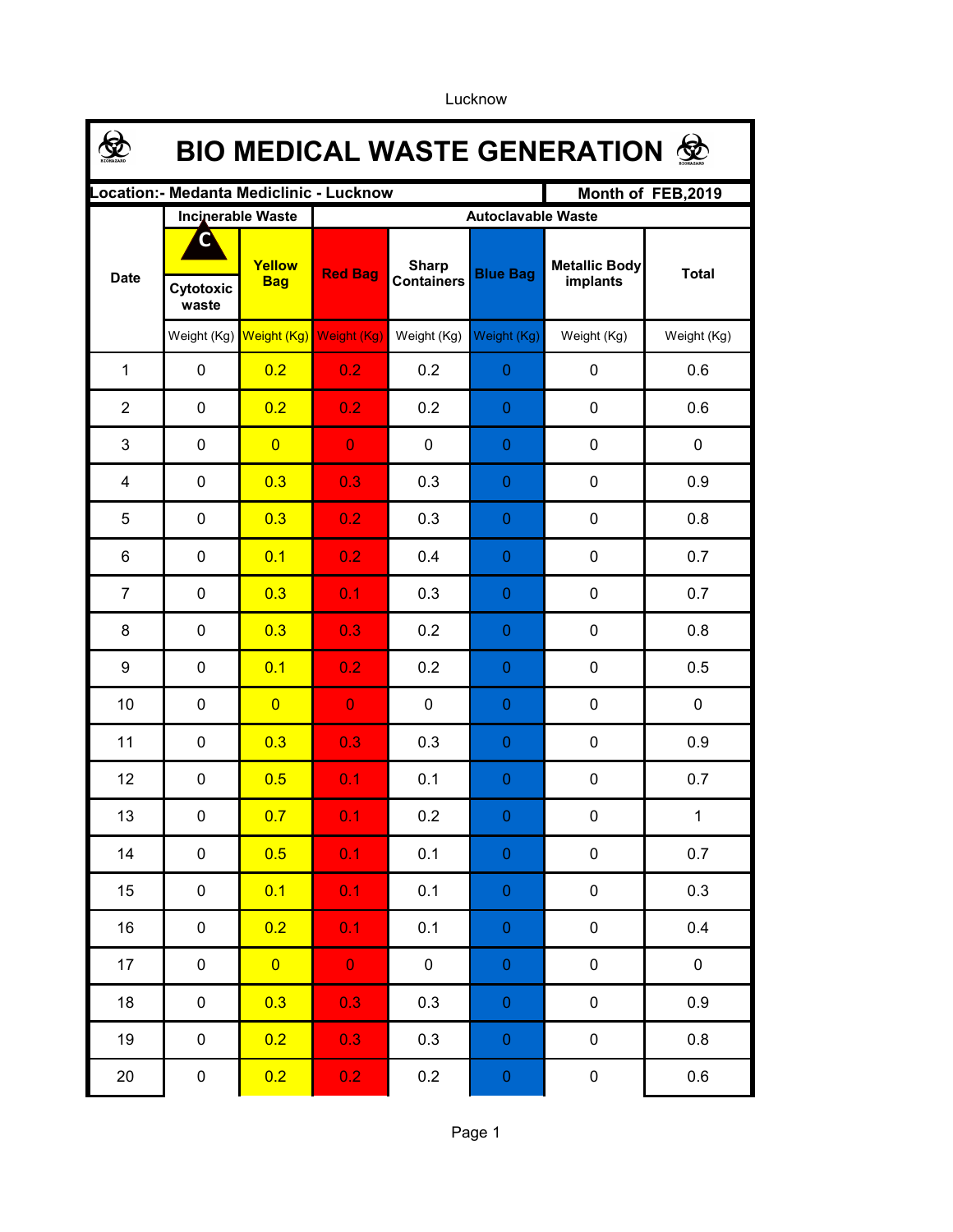|                                                               | <b>BIO MEDICAL WASTE GENERATION ©</b> |                      |                           |                                   |                  |                                  |              |  |  |  |  |
|---------------------------------------------------------------|---------------------------------------|----------------------|---------------------------|-----------------------------------|------------------|----------------------------------|--------------|--|--|--|--|
| Location: - Medanta Mediclinic - Lucknow<br>Month of FEB,2019 |                                       |                      |                           |                                   |                  |                                  |              |  |  |  |  |
|                                                               | <b>Incinerable Waste</b>              |                      | <b>Autoclavable Waste</b> |                                   |                  |                                  |              |  |  |  |  |
| <b>Date</b>                                                   | r<br>Cytotoxic<br>waste               | Yellow<br><b>Bag</b> | <b>Red Bag</b>            | <b>Sharp</b><br><b>Containers</b> | <b>Blue Bag</b>  | <b>Metallic Body</b><br>implants | <b>Total</b> |  |  |  |  |
|                                                               | Weight (Kg)                           |                      | Weight (Kg) Weight (Kg)   | Weight (Kg)                       | Weight (Kg)      | Weight (Kg)                      | Weight (Kg)  |  |  |  |  |
| $\mathbf{1}$                                                  | $\mathbf 0$                           | 0.2                  | 0.2 <sub>2</sub>          | 0.2                               | $\mathbf{0}$     | 0                                | 0.6          |  |  |  |  |
| $\overline{2}$                                                | $\mathbf 0$                           | 0.2                  | 0.2                       | 0.2                               | 0                | $\mathbf 0$                      | 0.6          |  |  |  |  |
| 3                                                             | $\mathbf 0$                           | $\overline{0}$       | $\overline{0}$            | $\mathbf 0$                       | 0                | $\mathbf 0$                      | $\mathbf 0$  |  |  |  |  |
| 4                                                             | $\mathbf 0$                           | 0.3                  | 0.3                       | 0.3                               | 0                | $\mathbf 0$                      | 0.9          |  |  |  |  |
| 5                                                             | 0                                     | 0.3                  | 0.2                       | 0.3                               | 0                | $\mathbf 0$                      | 0.8          |  |  |  |  |
| 6                                                             | 0                                     | 0.1                  | 0.2                       | 0.4                               | $\boldsymbol{0}$ | $\mathbf 0$                      | 0.7          |  |  |  |  |
| $\overline{7}$                                                | 0                                     | 0.3                  | 0.1                       | 0.3                               | 0                | 0                                | 0.7          |  |  |  |  |
| 8                                                             | 0                                     | 0.3                  | 0.3                       | 0.2                               | 0                | 0                                | 0.8          |  |  |  |  |
| 9                                                             | 0                                     | 0.1                  | 0.2                       | 0.2                               | 0                | $\mathbf 0$                      | 0.5          |  |  |  |  |
| 10                                                            | $\pmb{0}$                             | $\overline{0}$       | $\overline{0}$            | $\pmb{0}$                         | 0                | $\pmb{0}$                        | $\mathbf 0$  |  |  |  |  |
| 11                                                            | 0                                     | 0.3                  | 0.3                       | 0.3                               | 0                | $\mathbf 0$                      | 0.9          |  |  |  |  |
| 12                                                            | $\mathbf 0$                           | 0.5                  | 0.1                       | 0.1                               | $\boldsymbol{0}$ | $\mathbf 0$                      | 0.7          |  |  |  |  |
| 13                                                            | 0                                     | 0.7                  | 0.1                       | 0.2                               | 0.               | $\mathbf 0$                      | $\mathbf{1}$ |  |  |  |  |
| 14                                                            | $\pmb{0}$                             | 0.5                  | 0.1                       | 0.1                               | $\boldsymbol{0}$ | $\pmb{0}$                        | 0.7          |  |  |  |  |
| 15                                                            | $\mathbf 0$                           | 0.1                  | 0.1                       | 0.1                               | $\boldsymbol{0}$ | $\pmb{0}$                        | 0.3          |  |  |  |  |
| 16                                                            | $\pmb{0}$                             | 0.2                  | 0.1                       | 0.1                               | $\overline{0}$   | $\pmb{0}$                        | 0.4          |  |  |  |  |
| 17                                                            | $\pmb{0}$                             | $\overline{0}$       | $\mathbf{O}^+$            | $\mathsf{O}\xspace$               | $\overline{0}$   | $\pmb{0}$                        | $\pmb{0}$    |  |  |  |  |
| 18                                                            | $\pmb{0}$                             | 0.3                  | 0.3                       | 0.3                               | $\overline{0}$   | $\pmb{0}$                        | 0.9          |  |  |  |  |
| 19                                                            | $\pmb{0}$                             | 0.2                  | 0.3                       | 0.3                               | $\overline{0}$   | $\pmb{0}$                        | $0.8\,$      |  |  |  |  |
| 20                                                            | $\pmb{0}$                             | 0.2                  | 0.2                       | 0.2                               | $\pmb{0}$        | $\pmb{0}$                        | 0.6          |  |  |  |  |

Lucknow